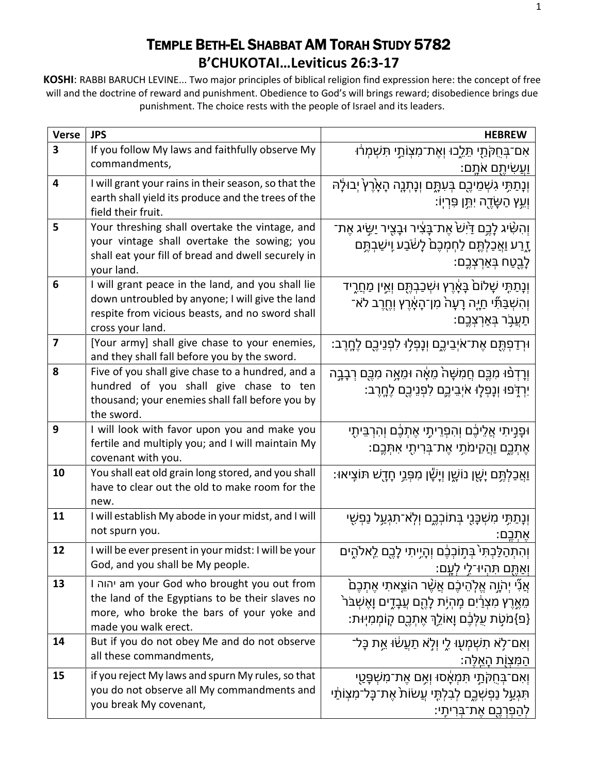# TEMPLE BETH-EL SHABBAT AM TORAH STUDY 5782 **B'CHUKOTAI…Leviticus 26:3-17**

**KOSHI**: RABBI BARUCH LEVINE... Two major principles of biblical religion find expression here: the concept of free will and the doctrine of reward and punishment. Obedience to God's will brings reward; disobedience brings due punishment. The choice rests with the people of Israel and its leaders.

| <b>Verse</b>            | <b>JPS</b>                                                                                                                                                                  | <b>HEBREW</b>                                                                                                                                                                    |
|-------------------------|-----------------------------------------------------------------------------------------------------------------------------------------------------------------------------|----------------------------------------------------------------------------------------------------------------------------------------------------------------------------------|
| 3                       | If you follow My laws and faithfully observe My<br>commandments,                                                                                                            | אִם־בְּחֻקֹּתַי תֵּלֵכוּ וְאֶת־מִצְוֹתַי תִּשְׁמְרֹוּ<br>ַוַעֲשִׂיתֵם אֹתֵם:                                                                                                     |
| 4                       | I will grant your rains in their season, so that the<br>earth shall yield its produce and the trees of the<br>field their fruit.                                            | וְנָתַתָּי גִשְׁמֵיכֶם בְּעִתֱם וְנָתְנֵה הָאָׂרֶץ יְבוּלַה<br>ּוְעֵץ הַשָּׂדֶה יִתֱן פִּרְיִוֹ:                                                                                 |
| 5                       | Your threshing shall overtake the vintage, and<br>your vintage shall overtake the sowing; you<br>shall eat your fill of bread and dwell securely in<br>your land.           | ּוְהָשָּׂיג לָכֵם דַּיְשׁׂ אֶת־בַּצִּיר וּבָצֵיר יַשֵּׂיג אֶת־<br>ָדָנע וַא <del>ַ</del> כַּלְתֶּם לַחְמְּכֶם לָש <u>ׂב</u> ַע וְישַׁבְתֶּם<br>ֹלָבֶטַח בְּאַרְצְבֱם:            |
| 6                       | I will grant peace in the land, and you shall lie<br>down untroubled by anyone; I will give the land<br>respite from vicious beasts, and no sword shall<br>cross your land. | וְנָתַתֶּי שָׁלוֹם <sub>ۛ</sub> בָּאָרֶץ וּשְׁכַבְהֶם וְאֵין מַחֲרֶיד<br>ְוְהִשְׁבַּתָּٗי חַיֶּה רָעָה <sup>ָ</sup> מִן־הָאֶרֶץ וְחֱרֶב לֹא־<br>ֿתַעֲבָר בְּאַרְצְבֶם:           |
| $\overline{\mathbf{z}}$ | [Your army] shall give chase to your enemies,<br>and they shall fall before you by the sword.                                                                               | ּוּרְדַפְתֶּם אֶת־אֹיְבֵיכֱם וְנָפְלָוּ לִפְנֵיכֶם לֶחֱרֶב:                                                                                                                      |
| 8                       | Five of you shall give chase to a hundred, and a<br>hundred of you shall give chase to ten<br>thousand; your enemies shall fall before you by<br>the sword.                 | וְרָדְפֿוּ מִכֶֶּם חֲמִשָּׁהֹ מֵאָ֫ה וּמֵאֲה מִכֶּם רְבָבֵה<br>ִיִרְדְּפוּ וְנָפְלָוּ אֹיְבֵיכֱם לִפְנֵיכֶם לֶחֶרֶב:                                                             |
| 9                       | I will look with favor upon you and make you<br>fertile and multiply you; and I will maintain My<br>covenant with you.                                                      | וּפָנֵיתִי אֲלֵיבֶם וְהִפְרֵיתָי אֶתְבֶם וְהִרְבֵּיתָי<br>ּאֶתְכֶם וַהֲקִימֹתֶי אֶת־בְּרִיתֻי אִתְּכֶם:                                                                          |
| 10                      | You shall eat old grain long stored, and you shall<br>have to clear out the old to make room for the<br>new.                                                                | <u>ואֲכַלְתֶּם יָשֶׁן נוֹשֶׁן וְיָשָׁן מִפְּרֵי חָדֶשׁ תּוֹצְיאוּ:</u>                                                                                                           |
| 11                      | I will establish My abode in your midst, and I will<br>not spurn you.                                                                                                       | וְנָתַתִּי מִשְׁכָּנֻי בְּתוֹכְכֶם וְלְאֹ־תִגְעַל נַפְשָׁי<br>ּאָתָכֵם:                                                                                                          |
| 12                      | I will be ever present in your midst: I will be your<br>God, and you shall be My people.                                                                                    | וְהִתְהַלַּבְתִּי <sup>י</sup> בְּתָוֹבְבֶּׁם וְהָיֵיתִי לָבֶם לֵאלֹהֶים<br>וְאַתֵּם תִּהְיוּ־לֵי לְעֵם:                                                                         |
| 13                      | I יהוה am your God who brought you out from<br>the land of the Egyptians to be their slaves no<br>more, who broke the bars of your yoke and<br>made you walk erect.         | ֹאֲנִّי יִהֹוֶה אֱלְהֵיכֶם אֲשֶׁר הוֹצֵאתִי אֶתְכֶם<br>ֿמֵאֱרֶץ מִצְרַ֫יִם מֶהְיָת לָהֶם עֲבָדֶים וָאֶשְׁבֹּר <sup>י</sup><br>{פ}מֹטְת עֻלְּבֶ֫ם וָאוֹלֵךְ אֶתְבֶם קוֹמְמִיְוּת: |
| 14                      | But if you do not obey Me and do not observe<br>all these commandments,                                                                                                     | וְאִם־לָא תִשְׁמְעָוּ לֵי וְלָא תַעֲשׂוּ אֶת בָּל־<br>ֿהַמְּצְוָֹת הַאֱלֵה:                                                                                                      |
| 15                      | if you reject My laws and spurn My rules, so that<br>you do not observe all My commandments and<br>you break My covenant,                                                   | וְאִם־בְּחֻקְּתֵי תְּמִאָּסוּ וְאֵם אֵת־מְשִׁפְּטֵי<br>תִּגְעַל נַפְשְׁבֵם לְבִלְתֵּי עֲשׂוֹת אֶת־כָּל־מִצְוֹתַי<br>ֹלְהַפְרְבֵם אֶת־בְּרִיתֵי:                                  |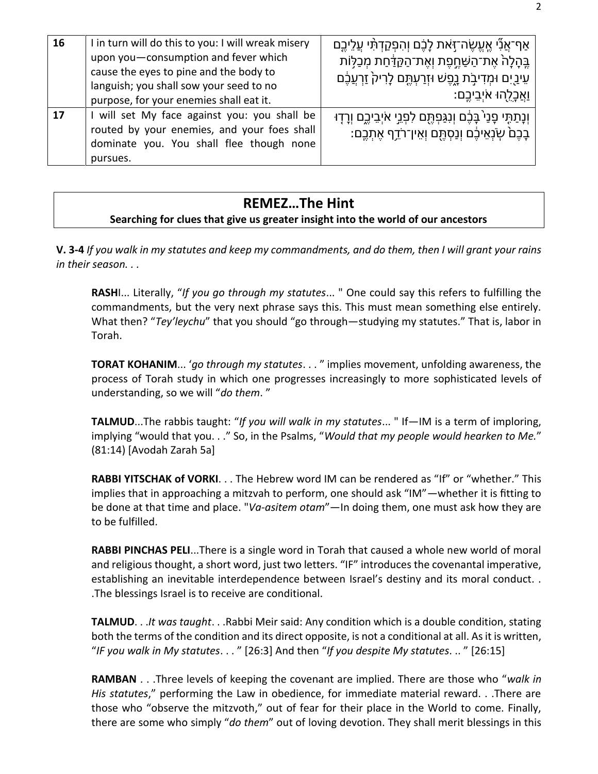| 16 | I in turn will do this to you: I will wreak misery<br>upon you-consumption and fever which<br>cause the eyes to pine and the body to<br>languish; you shall sow your seed to no<br>purpose, for your enemies shall eat it. | ֿאַף־אֲנִّי אֱעֱשֶׂה־זָּאת לָבֶם וְהִפְקַדְתִּי עֲלֵיבֶם<br>ֶבֶּהָלָהֹ אֶת־הַשַּׁחֱפֶת וְאֶת־הַקַדַּחַת מְכַלָּוֹת<br>עֵינַיִם וּמְדִיבָׂת נָפֶשׁ וּזְרַעְתֶּם לָרִיק´ זַרְעֲבֶם<br><u>וַאֲכָל</u> ָהוּ אֹיְבֵיכֶם: |
|----|----------------------------------------------------------------------------------------------------------------------------------------------------------------------------------------------------------------------------|---------------------------------------------------------------------------------------------------------------------------------------------------------------------------------------------------------------------|
| 17 | I will set My face against you: you shall be<br>routed by your enemies, and your foes shall<br>dominate you. You shall flee though none<br>pursues.                                                                        | ּוְנָתַתֶּי פָנַי´בָּבֶ֫ם וְנִגַּפְתֶּם לִפְנֵי אֹיְבֵיכֱם וְרָדָוּ<br>ֹבָכֶם שְׂנְאֵיכֶם וְנַסְתֶּם וְאֵין־רֹדֵף אֶתְכֶם:                                                                                          |

# **REMEZ…The Hint**

#### **Searching for clues that give us greater insight into the world of our ancestors**

**V. 3-4** *If you walk in my statutes and keep my commandments, and do them, then I will grant your rains in their season. . .*

**RASH**I... Literally, "*If you go through my statutes*... " One could say this refers to fulfilling the commandments, but the very next phrase says this. This must mean something else entirely. What then? "*Tey'leychu*" that you should "go through—studying my statutes." That is, labor in Torah.

**TORAT KOHANIM**... '*go through my statutes*. . . " implies movement, unfolding awareness, the process of Torah study in which one progresses increasingly to more sophisticated levels of understanding, so we will "*do them*. "

**TALMUD**...The rabbis taught: "*If you will walk in my statutes*... " If—IM is a term of imploring, implying "would that you. . ." So, in the Psalms, "*Would that my people would hearken to Me.*" (81:14) [Avodah Zarah 5a]

**RABBI YITSCHAK of VORKI**. . . The Hebrew word IM can be rendered as "If" or "whether." This implies that in approaching a mitzvah to perform, one should ask "IM"—whether it is fitting to be done at that time and place. "*Va-asitem otam*"—In doing them, one must ask how they are to be fulfilled.

**RABBI PINCHAS PELI**...There is a single word in Torah that caused a whole new world of moral and religious thought, a short word, just two letters. "IF" introduces the covenantal imperative, establishing an inevitable interdependence between Israel's destiny and its moral conduct. . .The blessings Israel is to receive are conditional.

**TALMUD**. . .*It was taught*. . .Rabbi Meir said: Any condition which is a double condition, stating both the terms of the condition and its direct opposite, is not a conditional at all. As it is written, "*IF you walk in My statutes*. . . " [26:3] And then "*If you despite My statutes*. .. " [26:15]

**RAMBAN** . . .Three levels of keeping the covenant are implied. There are those who "*walk in His statutes*," performing the Law in obedience, for immediate material reward. . .There are those who "observe the mitzvoth," out of fear for their place in the World to come. Finally, there are some who simply "*do them*" out of loving devotion. They shall merit blessings in this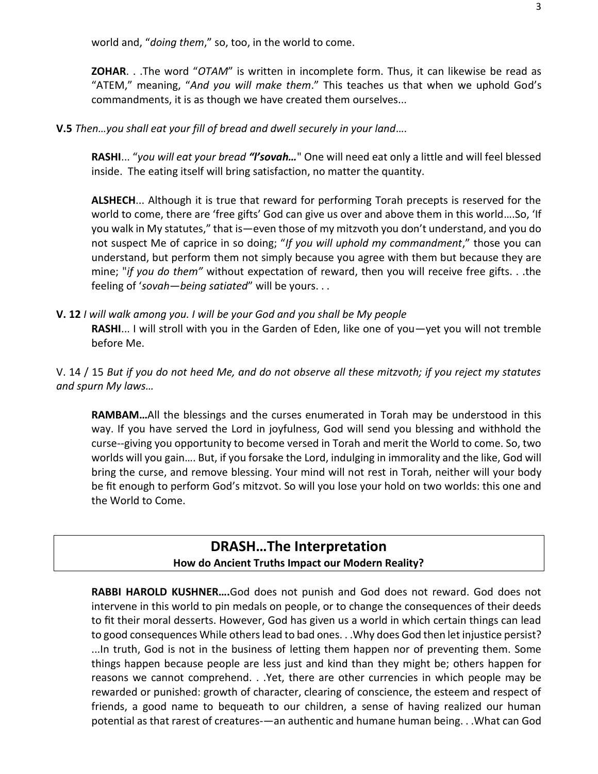world and, "*doing them*," so, too, in the world to come.

**ZOHAR**. . .The word "*OTAM*" is written in incomplete form. Thus, it can likewise be read as "ATEM," meaning, "*And you will make them*." This teaches us that when we uphold God's commandments, it is as though we have created them ourselves...

**V.5** *Then…you shall eat your fill of bread and dwell securely in your land*….

**RASHI**... "*you will eat your bread "l'sovah…*" One will need eat only a little and will feel blessed inside. The eating itself will bring satisfaction, no matter the quantity.

**ALSHECH**... Although it is true that reward for performing Torah precepts is reserved for the world to come, there are 'free gifts' God can give us over and above them in this world….So, 'If you walk in My statutes," that is—even those of my mitzvoth you don't understand, and you do not suspect Me of caprice in so doing; "*If you will uphold my commandment*," those you can understand, but perform them not simply because you agree with them but because they are mine; "*if you do them"* without expectation of reward, then you will receive free gifts. . .the feeling of '*sovah*—*being satiated*" will be yours. . .

**V. 12** *I will walk among you. I will be your God and you shall be My people*

**RASHI**... I will stroll with you in the Garden of Eden, like one of you—yet you will not tremble before Me.

V. 14 / 15 *But if you do not heed Me, and do not observe all these mitzvoth; if you reject my statutes and spurn My laws…*

**RAMBAM…**All the blessings and the curses enumerated in Torah may be understood in this way. If you have served the Lord in joyfulness, God will send you blessing and withhold the curse--giving you opportunity to become versed in Torah and merit the World to come. So, two worlds will you gain…. But, if you forsake the Lord, indulging in immorality and the like, God will bring the curse, and remove blessing. Your mind will not rest in Torah, neither will your body be fit enough to perform God's mitzvot. So will you lose your hold on two worlds: this one and the World to Come.

## **DRASH…The Interpretation How do Ancient Truths Impact our Modern Reality?**

**RABBI HAROLD KUSHNER….**God does not punish and God does not reward. God does not intervene in this world to pin medals on people, or to change the consequences of their deeds to fit their moral desserts. However, God has given us a world in which certain things can lead to good consequences While others lead to bad ones. . .Why does God then let injustice persist? ...In truth, God is not in the business of letting them happen nor of preventing them. Some things happen because people are less just and kind than they might be; others happen for reasons we cannot comprehend. . .Yet, there are other currencies in which people may be rewarded or punished: growth of character, clearing of conscience, the esteem and respect of friends, a good name to bequeath to our children, a sense of having realized our human potential as that rarest of creatures-—an authentic and humane human being. . .What can God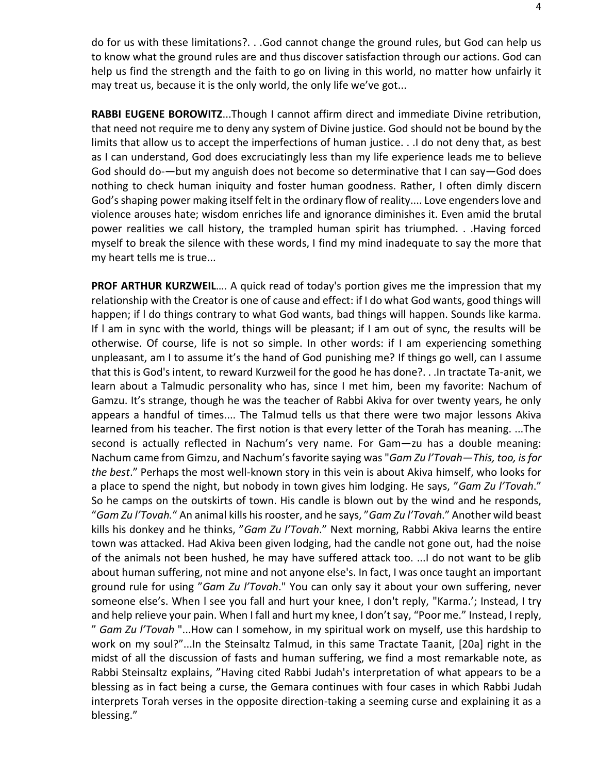do for us with these limitations?. . .God cannot change the ground rules, but God can help us to know what the ground rules are and thus discover satisfaction through our actions. God can help us find the strength and the faith to go on living in this world, no matter how unfairly it may treat us, because it is the only world, the only life we've got...

**RABBI EUGENE BOROWITZ**...Though I cannot affirm direct and immediate Divine retribution, that need not require me to deny any system of Divine justice. God should not be bound by the limits that allow us to accept the imperfections of human justice. . .I do not deny that, as best as I can understand, God does excruciatingly less than my life experience leads me to believe God should do-—but my anguish does not become so determinative that I can say—God does nothing to check human iniquity and foster human goodness. Rather, I often dimly discern God's shaping power making itself felt in the ordinary flow of reality.... Love engenders love and violence arouses hate; wisdom enriches life and ignorance diminishes it. Even amid the brutal power realities we call history, the trampled human spirit has triumphed. . .Having forced myself to break the silence with these words, I find my mind inadequate to say the more that my heart tells me is true...

**PROF ARTHUR KURZWEIL**…. A quick read of today's portion gives me the impression that my relationship with the Creator is one of cause and effect: if I do what God wants, good things will happen; if l do things contrary to what God wants, bad things will happen. Sounds like karma. If l am in sync with the world, things will be pleasant; if I am out of sync, the results will be otherwise. Of course, life is not so simple. In other words: if I am experiencing something unpleasant, am I to assume it's the hand of God punishing me? If things go well, can I assume that this is God's intent, to reward Kurzweil for the good he has done?. . .In tractate Ta-anit, we learn about a Talmudic personality who has, since I met him, been my favorite: Nachum of Gamzu. It's strange, though he was the teacher of Rabbi Akiva for over twenty years, he only appears a handful of times.... The Talmud tells us that there were two major lessons Akiva learned from his teacher. The first notion is that every letter of the Torah has meaning. ...The second is actually reflected in Nachum's very name. For Gam—zu has a double meaning: Nachum came from Gimzu, and Nachum's favorite saying was "*Gam Zu l'Tovah—This, too, is for the best*." Perhaps the most well-known story in this vein is about Akiva himself, who looks for a place to spend the night, but nobody in town gives him lodging. He says, "*Gam Zu l'Tovah*." So he camps on the outskirts of town. His candle is blown out by the wind and he responds, "*Gam Zu l'Tovah.*" An animal kills his rooster, and he says, "*Gam Zu l'Tovah*." Another wild beast kills his donkey and he thinks, "*Gam Zu l'Tovah*." Next morning, Rabbi Akiva learns the entire town was attacked. Had Akiva been given lodging, had the candle not gone out, had the noise of the animals not been hushed, he may have suffered attack too. ...I do not want to be glib about human suffering, not mine and not anyone else's. In fact, I was once taught an important ground rule for using "*Gam Zu l'Tovah*." You can only say it about your own suffering, never someone else's. When l see you fall and hurt your knee, I don't reply, "Karma.'; Instead, I try and help relieve your pain. When I fall and hurt my knee, I don't say, "Poor me." Instead, I reply, " *Gam Zu l'Tovah* "...How can I somehow, in my spiritual work on myself, use this hardship to work on my soul?"...In the Steinsaltz Talmud, in this same Tractate Taanit, [20a] right in the midst of all the discussion of fasts and human suffering, we find a most remarkable note, as Rabbi Steinsaltz explains, "Having cited Rabbi Judah's interpretation of what appears to be a blessing as in fact being a curse, the Gemara continues with four cases in which Rabbi Judah interprets Torah verses in the opposite direction-taking a seeming curse and explaining it as a blessing."